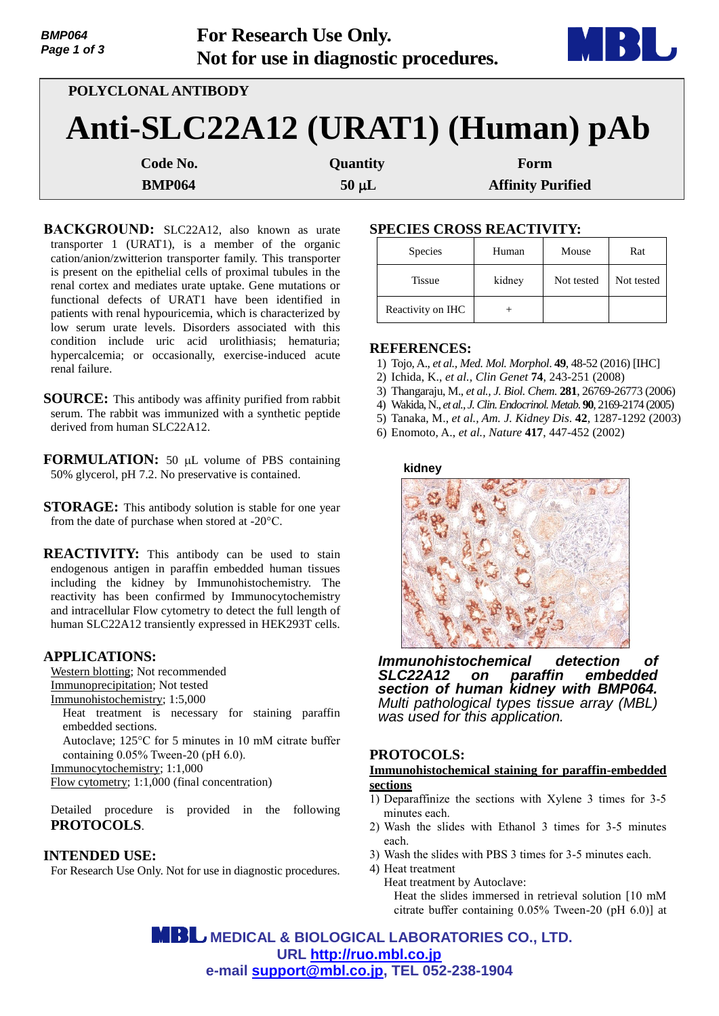| <i>DIVITU</i> 04<br>Page 1 of 3 |                     | FOI RESEARCH USE UHIY.<br>Not for use in diagnostic procedures. |                          |  |
|---------------------------------|---------------------|-----------------------------------------------------------------|--------------------------|--|
|                                 | POLYCLONAL ANTIBODY |                                                                 |                          |  |
|                                 |                     | Anti-SLC22A12 (URAT1) (Human) pAb                               |                          |  |
|                                 | Code No.            | Quantity                                                        | Form                     |  |
|                                 | <b>BMP064</b>       | $50 \mu L$                                                      | <b>Affinity Purified</b> |  |

**For Research Use Only.**

**BACKGROUND:** SLC22A12, also known as urate transporter 1 (URAT1), is a member of the organic cation/anion/zwitterion transporter family. This transporter is present on the epithelial cells of proximal tubules in the renal cortex and mediates urate uptake. Gene mutations or functional defects of URAT1 have been identified in patients with renal hypouricemia, which is characterized by low serum urate levels. Disorders associated with this condition include uric acid urolithiasis; hematuria; hypercalcemia; or occasionally, exercise-induced acute renal failure.

**SOURCE:** This antibody was affinity purified from rabbit serum. The rabbit was immunized with a synthetic peptide derived from human SLC22A12.

**FORMULATION:** 50 µL volume of PBS containing 50% glycerol, pH 7.2. No preservative is contained.

**STORAGE:** This antibody solution is stable for one year from the date of purchase when stored at -20°C.

**REACTIVITY:** This antibody can be used to stain endogenous antigen in paraffin embedded human tissues including the kidney by Immunohistochemistry. The reactivity has been confirmed by Immunocytochemistry and intracellular Flow cytometry to detect the full length of human SLC22A12 transiently expressed in HEK293T cells.

### **APPLICATIONS:**

*BMP064*

Western blotting; Not recommended Immunoprecipitation; Not tested Immunohistochemistry; 1:5,000 Heat treatment is necessary for staining paraffin embedded sections. Autoclave; 125°C for 5 minutes in 10 mM citrate buffer

containing 0.05% Tween-20 (pH 6.0).

Immunocytochemistry; 1:1,000

Flow cytometry; 1:1,000 (final concentration)

Detailed procedure is provided in the following **PROTOCOLS**.

## **INTENDED USE:**

For Research Use Only. Not for use in diagnostic procedures.

# **SPECIES CROSS REACTIVITY:**

| <b>Species</b>    | Human  | Mouse      | Rat        |
|-------------------|--------|------------|------------|
| <b>Tissue</b>     | kidney | Not tested | Not tested |
| Reactivity on IHC |        |            |            |

## **REFERENCES:**

- 1) Tojo, A., *et al., Med. Mol. Morphol*. **49**, 48-52 (2016) [IHC]
- 2) Ichida, K., *et al., Clin Genet* **74**, 243-251 (2008)
- 3) Thangaraju, M., *et al., J. Biol. Chem.* **281**, 26769-26773 (2006)
- 4) Wakida, N., *et al., J. Clin. Endocrinol. Metab.* **90**, 2169-2174 (2005)
- 5) Tanaka, M., *et al., Am. J. Kidney Dis*. **42**, 1287-1292 (2003)
- 6) Enomoto, A., *et al., Nature* **417**, 447-452 (2002)

#### **kidney**



*Immunohistochemical detection of*  on paraffin embedded *section of human kidney with BMP064. Multi pathological types tissue array (MBL) was used for this application.*

## **PROTOCOLS:**

**Immunohistochemical staining for paraffin-embedded sections**

- 1) Deparaffinize the sections with Xylene 3 times for 3-5 minutes each.
- 2) Wash the slides with Ethanol 3 times for 3-5 minutes each.
- 3) Wash the slides with PBS 3 times for 3-5 minutes each.

4) Heat treatment

Heat treatment by Autoclave: Heat the slides immersed in retrieval solution [10 mM citrate buffer containing 0.05% Tween-20 (pH 6.0)] at

 **MEDICAL & BIOLOGICAL LABORATORIES CO., LTD. URL [http://ruo.mbl.co.jp](http://ruo.mbl.co.jp/) e-mail [support@mbl.co.jp,](support@mbl.co.jp) TEL 052-238-1904**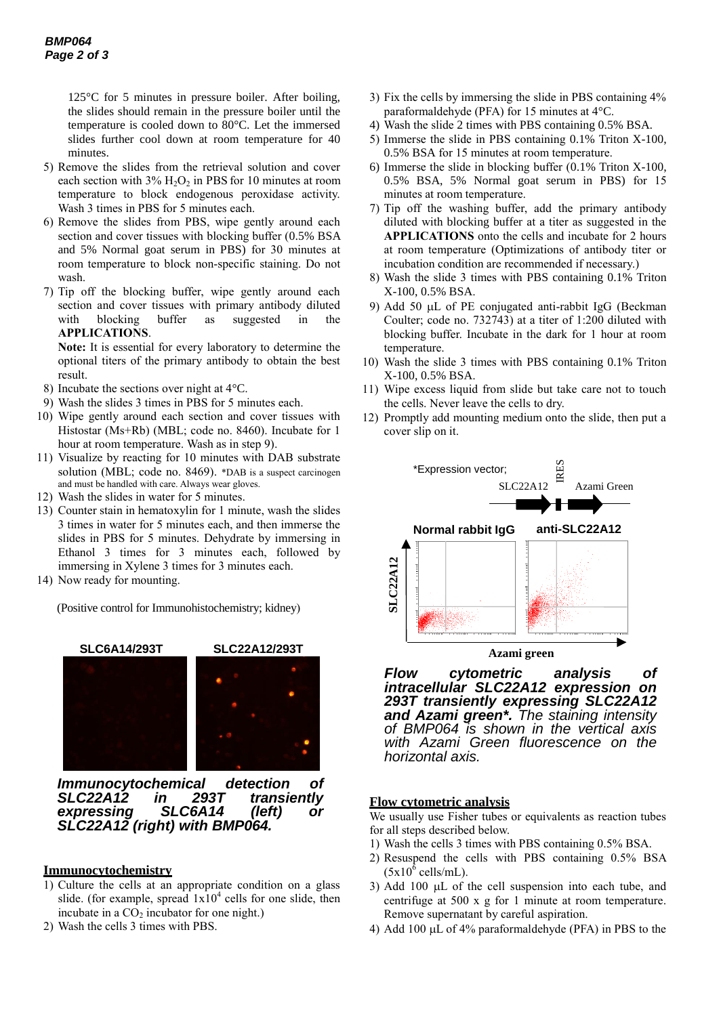125°C for 5 minutes in pressure boiler. After boiling, the slides should remain in the pressure boiler until the temperature is cooled down to 80°C. Let the immersed slides further cool down at room temperature for 40 minutes.

- 5) Remove the slides from the retrieval solution and cover each section with  $3\%$  H<sub>2</sub>O<sub>2</sub> in PBS for 10 minutes at room temperature to block endogenous peroxidase activity. Wash 3 times in PBS for 5 minutes each.
- 6) Remove the slides from PBS, wipe gently around each section and cover tissues with blocking buffer (0.5% BSA and 5% Normal goat serum in PBS) for 30 minutes at room temperature to block non-specific staining. Do not wash.
- 7) Tip off the blocking buffer, wipe gently around each section and cover tissues with primary antibody diluted with blocking buffer as suggested in the **APPLICATIONS**.

**Note:** It is essential for every laboratory to determine the optional titers of the primary antibody to obtain the best result.

- 8) Incubate the sections over night at 4°C.
- 9) Wash the slides 3 times in PBS for 5 minutes each.
- 10) Wipe gently around each section and cover tissues with Histostar (Ms+Rb) (MBL; code no. 8460). Incubate for 1 hour at room temperature. Wash as in step 9).
- 11) Visualize by reacting for 10 minutes with DAB substrate solution (MBL; code no. 8469). \*DAB is a suspect carcinogen and must be handled with care. Always wear gloves.
- 12) Wash the slides in water for 5 minutes.
- 13) Counter stain in hematoxylin for 1 minute, wash the slides 3 times in water for 5 minutes each, and then immerse the slides in PBS for 5 minutes. Dehydrate by immersing in Ethanol 3 times for 3 minutes each, followed by immersing in Xylene 3 times for 3 minutes each.
- 14) Now ready for mounting.

(Positive control for Immunohistochemistry; kidney)



*Immunocytochemical detection of in 293T transiently expressing SLC6A14 (left) or SLC22A12 (right) with BMP064.*

#### **Immunocytochemistry**

- 1) Culture the cells at an appropriate condition on a glass slide. (for example, spread  $1x10^4$  cells for one slide, then incubate in a  $CO<sub>2</sub>$  incubator for one night.)
- 2) Wash the cells 3 times with PBS.
- 3) Fix the cells by immersing the slide in PBS containing 4% paraformaldehyde (PFA) for 15 minutes at 4°C.
- 4) Wash the slide 2 times with PBS containing 0.5% BSA.
- 5) Immerse the slide in PBS containing 0.1% Triton X-100, 0.5% BSA for 15 minutes at room temperature.
- 6) Immerse the slide in blocking buffer (0.1% Triton X-100, 0.5% BSA, 5% Normal goat serum in PBS) for 15 minutes at room temperature.
- 7) Tip off the washing buffer, add the primary antibody diluted with blocking buffer at a titer as suggested in the **APPLICATIONS** onto the cells and incubate for 2 hours at room temperature (Optimizations of antibody titer or incubation condition are recommended if necessary.)
- 8) Wash the slide 3 times with PBS containing 0.1% Triton X-100, 0.5% BSA.
- 9) Add 50  $\mu$ L of PE conjugated anti-rabbit IgG (Beckman Coulter; code no. 732743) at a titer of 1:200 diluted with blocking buffer. Incubate in the dark for 1 hour at room temperature.
- 10) Wash the slide 3 times with PBS containing 0.1% Triton X-100, 0.5% BSA.
- 11) Wipe excess liquid from slide but take care not to touch the cells. Never leave the cells to dry.
- 12) Promptly add mounting medium onto the slide, then put a cover slip on it.



*Flow cytometric analysis of intracellular SLC22A12 expression on 293T transiently expressing SLC22A12 and Azami green\*. The staining intensity of BMP064 is shown in the vertical axis with Azami Green fluorescence on the horizontal axis.* 

### **Flow cytometric analysis**

We usually use Fisher tubes or equivalents as reaction tubes for all steps described below.

- 1) Wash the cells 3 times with PBS containing 0.5% BSA.
- 2) Resuspend the cells with PBS containing 0.5% BSA  $(5x10^6 \text{ cells/mL}).$
- 3) Add 100  $\mu$ L of the cell suspension into each tube, and centrifuge at 500 x g for 1 minute at room temperature. Remove supernatant by careful aspiration.
- 4) Add 100  $\mu$ L of 4% paraformaldehyde (PFA) in PBS to the